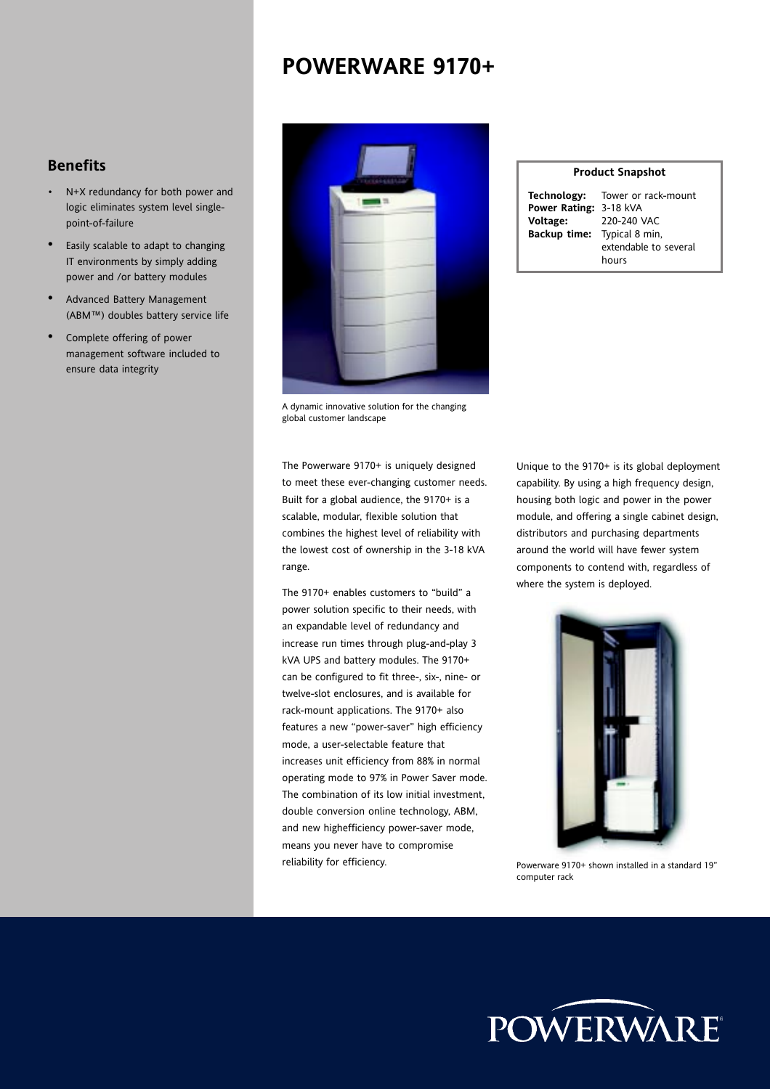### **POWERWARE 9170+**

- N+X redundancy for both power and logic eliminates system level singlepoint-of-failure
- Easily scalable to adapt to changing IT environments by simply adding power and /or battery modules
- Advanced Battery Management (ABM™) doubles battery service life
- Complete offering of power management software included to ensure data integrity

|           | <b>Benefits</b>                                                                                           |           |                         | <b>Product Snapshot</b>                                                                       |
|-----------|-----------------------------------------------------------------------------------------------------------|-----------|-------------------------|-----------------------------------------------------------------------------------------------|
| $\bullet$ | N+X redundancy for both power and<br>logic eliminates system level single-<br>point-of-failure            | THEMAS CO | Technology:<br>Voltage: | Tower or rack-<br>Power Rating: 3-18 kVA<br>220-240 VAC<br><b>Backup time:</b> Typical 8 min, |
|           | Easily scalable to adapt to changing<br>IT environments by simply adding<br>power and /or battery modules |           |                         | extendable to<br>hours                                                                        |
|           | Advanced Battery Management<br>(ABM™) doubles battery service life                                        |           |                         |                                                                                               |
|           | Complete offering of power<br>management software included to<br>ensure data integrity                    |           |                         |                                                                                               |

A dynamic innovative solution for the changing global customer landscape

The Powerware 9170+ is uniquely designed to meet these ever-changing customer needs. Built for a global audience, the 9170+ is a scalable, modular, flexible solution that combines the highest level of reliability with the lowest cost of ownership in the 3-18 kVA range.

The  $9170+$  enables customers to "build" a power solution specific to their needs, with an expandable level of redundancy and increase run times through plug-and-play 3 kVA UPS and battery modules. The 9170+ can be configured to fit three-, six-, nine- or twelve-slot enclosures, and is available for rack-mount applications. The 9170+ also features a new "power-saver" high efficiency mode, a user-selectable feature that increases unit efficiency from 88% in normal operating mode to 97% in Power Saver mode. The combination of its low initial investment, double conversion online technology, ABM, and new highefficiency power-saver mode, means you never have to compromise reliability for efficiency.

| <b>Product Snapshot</b>     |                                        |  |  |  |  |  |  |
|-----------------------------|----------------------------------------|--|--|--|--|--|--|
|                             | <b>Technology:</b> Tower or rack-mount |  |  |  |  |  |  |
| Power Rating: 3-18 kVA      |                                        |  |  |  |  |  |  |
| Voltage:                    | 220-240 VAC                            |  |  |  |  |  |  |
| Backup time: Typical 8 min, |                                        |  |  |  |  |  |  |
|                             | extendable to several                  |  |  |  |  |  |  |
|                             | hours                                  |  |  |  |  |  |  |

Unique to the 9170+ is its global deployment capability. By using a high frequency design, housing both logic and power in the power module, and offering a single cabinet design, distributors and purchasing departments around the world will have fewer system components to contend with, regardless of where the system is deployed.



Powerware 9170+ shown installed in a standard 19î computer rack

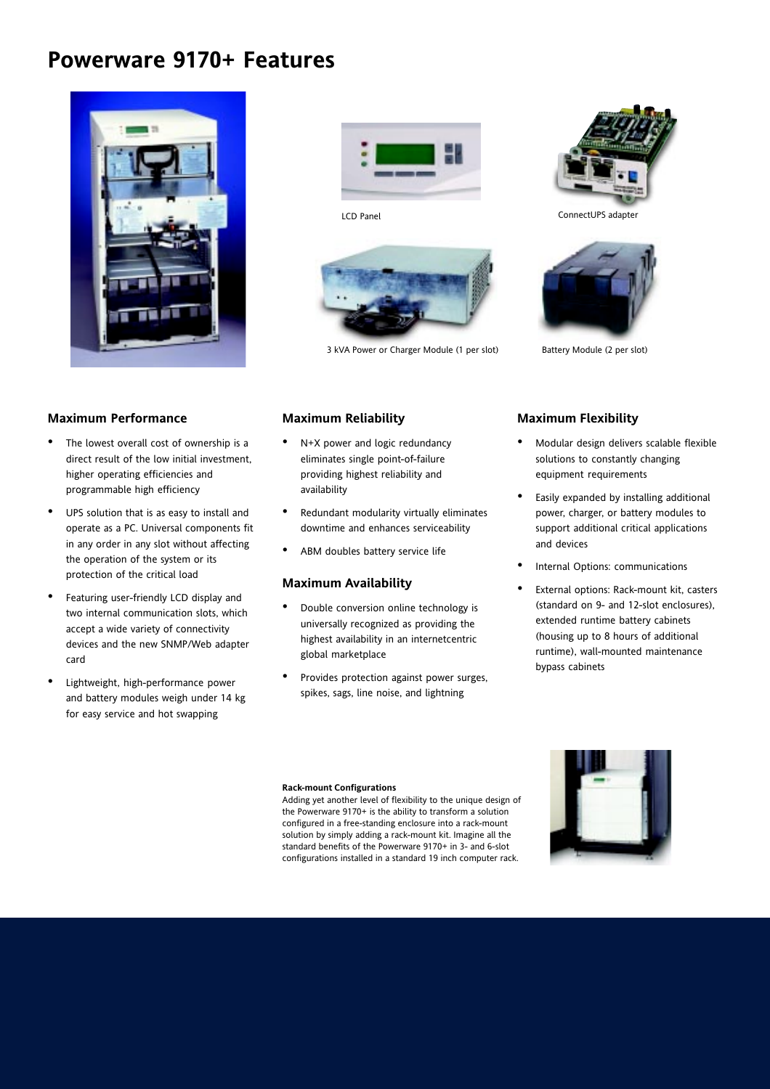### **Powerware 9170+ Features**





LCD Panel



3 kVA Power or Charger Module (1 per slot) Battery Module (2 per slot)



ConnectUPS adapter



#### **Maximum Performance**

- The lowest overall cost of ownership is a direct result of the low initial investment, higher operating efficiencies and programmable high efficiency
- UPS solution that is as easy to install and operate as a PC. Universal components fit in any order in any slot without affecting the operation of the system or its protection of the critical load
- Featuring user-friendly LCD display and two internal communication slots, which accept a wide variety of connectivity devices and the new SNMP/Web adapter card
- Lightweight, high-performance power and battery modules weigh under 14 kg for easy service and hot swapping

#### **Maximum Reliability**

- N+X power and logic redundancy eliminates single point-of-failure providing highest reliability and availability
- Redundant modularity virtually eliminates downtime and enhances serviceability
- ABM doubles battery service life

#### **Maximum Availability**

- Double conversion online technology is universally recognized as providing the highest availability in an internetcentric global marketplace
- Provides protection against power surges, spikes, sags, line noise, and lightning

#### **Maximum Flexibility**

- Modular design delivers scalable flexible solutions to constantly changing equipment requirements
- Easily expanded by installing additional power, charger, or battery modules to support additional critical applications and devices
- Internal Options: communications
- External options: Rack-mount kit, casters (standard on 9- and 12-slot enclosures), extended runtime battery cabinets (housing up to 8 hours of additional runtime), wall-mounted maintenance bypass cabinets

#### **Rack-mount Configurations**

Adding yet another level of flexibility to the unique design of the Powerware 9170+ is the ability to transform a solution configured in a free-standing enclosure into a rack-mount solution by simply adding a rack-mount kit. Imagine all the standard benefits of the Powerware 9170+ in 3- and 6-slot configurations installed in a standard 19 inch computer rack.

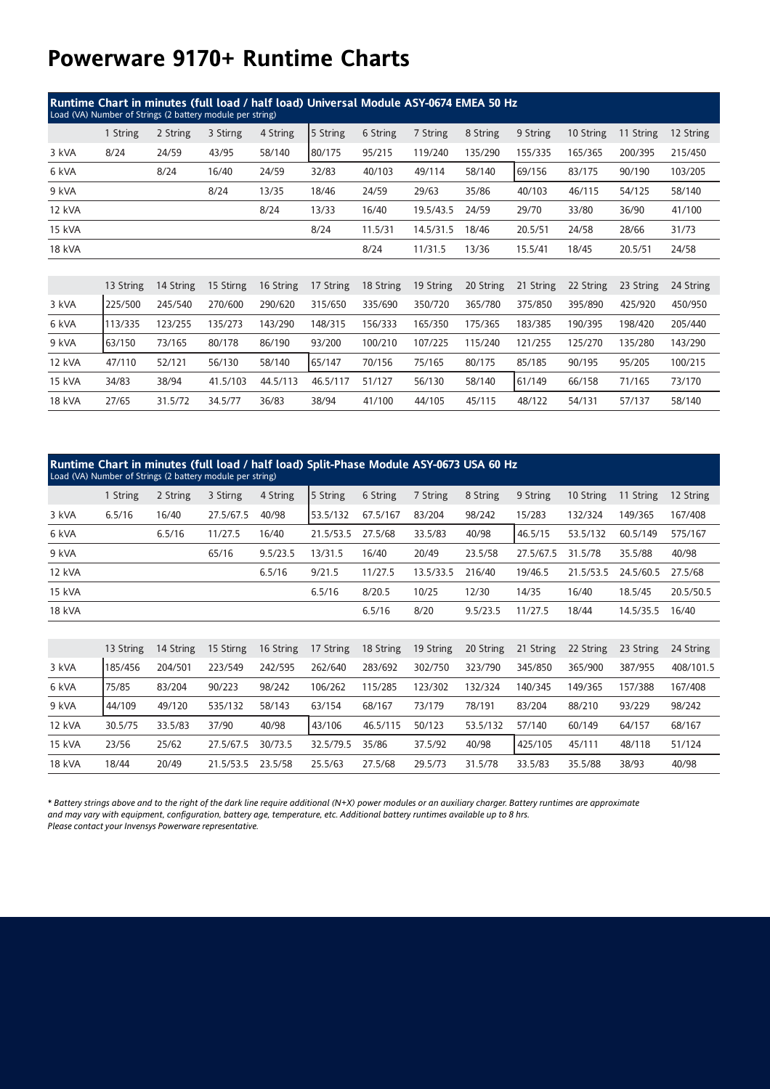## **Powerware 9170+ Runtime Charts**

| Runtime Chart in minutes (full load / half load) Universal Module ASY-0674 EMEA 50 Hz<br>Load (VA) Number of Strings (2 battery module per string) |           |           |           |           |           |           |           |           |           |           |           |           |
|----------------------------------------------------------------------------------------------------------------------------------------------------|-----------|-----------|-----------|-----------|-----------|-----------|-----------|-----------|-----------|-----------|-----------|-----------|
|                                                                                                                                                    | 1 String  | 2 String  | 3 Stirng  | 4 String  | 5 String  | 6 String  | 7 String  | 8 String  | 9 String  | 10 String | 11 String | 12 String |
| 3 kVA                                                                                                                                              | 8/24      | 24/59     | 43/95     | 58/140    | 80/175    | 95/215    | 119/240   | 135/290   | 155/335   | 165/365   | 200/395   | 215/450   |
| 6 kVA                                                                                                                                              |           | 8/24      | 16/40     | 24/59     | 32/83     | 40/103    | 49/114    | 58/140    | 69/156    | 83/175    | 90/190    | 103/205   |
| 9 kVA                                                                                                                                              |           |           | 8/24      | 13/35     | 18/46     | 24/59     | 29/63     | 35/86     | 40/103    | 46/115    | 54/125    | 58/140    |
| 12 kVA                                                                                                                                             |           |           |           | 8/24      | 13/33     | 16/40     | 19.5/43.5 | 24/59     | 29/70     | 33/80     | 36/90     | 41/100    |
| 15 kVA                                                                                                                                             |           |           |           |           | 8/24      | 11.5/31   | 14.5/31.5 | 18/46     | 20.5/51   | 24/58     | 28/66     | 31/73     |
| <b>18 kVA</b>                                                                                                                                      |           |           |           |           |           | 8/24      | 11/31.5   | 13/36     | 15.5/41   | 18/45     | 20.5/51   | 24/58     |
|                                                                                                                                                    |           |           |           |           |           |           |           |           |           |           |           |           |
|                                                                                                                                                    | 13 String | 14 String | 15 Stirng | 16 String | 17 String | 18 String | 19 String | 20 String | 21 String | 22 String | 23 String | 24 String |
| 3 kVA                                                                                                                                              | 225/500   | 245/540   | 270/600   | 290/620   | 315/650   | 335/690   | 350/720   | 365/780   | 375/850   | 395/890   | 425/920   | 450/950   |
| 6 kVA                                                                                                                                              | 113/335   | 123/255   | 135/273   | 143/290   | 148/315   | 156/333   | 165/350   | 175/365   | 183/385   | 190/395   | 198/420   | 205/440   |
| 9 kVA                                                                                                                                              | 63/150    | 73/165    | 80/178    | 86/190    | 93/200    | 100/210   | 107/225   | 115/240   | 121/255   | 125/270   | 135/280   | 143/290   |
| 12 kVA                                                                                                                                             | 47/110    | 52/121    | 56/130    | 58/140    | 65/147    | 70/156    | 75/165    | 80/175    | 85/185    | 90/195    | 95/205    | 100/215   |
| 15 kVA                                                                                                                                             | 34/83     | 38/94     | 41.5/103  | 44.5/113  | 46.5/117  | 51/127    | 56/130    | 58/140    | 61/149    | 66/158    | 71/165    | 73/170    |
| <b>18 kVA</b>                                                                                                                                      | 27/65     | 31.5/72   | 34.5/77   | 36/83     | 38/94     | 41/100    | 44/105    | 45/115    | 48/122    | 54/131    | 57/137    | 58/140    |

| Runtime Chart in minutes (full load / half load) Split-Phase Module ASY-0673 USA 60 Hz<br>Load (VA) Number of Strings (2 battery module per string) |           |           |           |           |           |           |           |           |           |           |           |           |
|-----------------------------------------------------------------------------------------------------------------------------------------------------|-----------|-----------|-----------|-----------|-----------|-----------|-----------|-----------|-----------|-----------|-----------|-----------|
|                                                                                                                                                     | 1 String  | 2 String  | 3 Stirng  | 4 String  | 5 String  | 6 String  | 7 String  | 8 String  | 9 String  | 10 String | 11 String | 12 String |
| 3 kVA                                                                                                                                               | 6.5/16    | 16/40     | 27.5/67.5 | 40/98     | 53.5/132  | 67.5/167  | 83/204    | 98/242    | 15/283    | 132/324   | 149/365   | 167/408   |
| 6 kVA                                                                                                                                               |           | 6.5/16    | 11/27.5   | 16/40     | 21.5/53.5 | 27.5/68   | 33.5/83   | 40/98     | 46.5/15   | 53.5/132  | 60.5/149  | 575/167   |
| 9 kVA                                                                                                                                               |           |           | 65/16     | 9.5/23.5  | 13/31.5   | 16/40     | 20/49     | 23.5/58   | 27.5/67.5 | 31.5/78   | 35.5/88   | 40/98     |
| 12 kVA                                                                                                                                              |           |           |           | 6.5/16    | 9/21.5    | 11/27.5   | 13.5/33.5 | 216/40    | 19/46.5   | 21.5/53.5 | 24.5/60.5 | 27.5/68   |
| 15 kVA                                                                                                                                              |           |           |           |           | 6.5/16    | 8/20.5    | 10/25     | 12/30     | 14/35     | 16/40     | 18.5/45   | 20.5/50.5 |
| 18 kVA                                                                                                                                              |           |           |           |           |           | 6.5/16    | 8/20      | 9.5/23.5  | 11/27.5   | 18/44     | 14.5/35.5 | 16/40     |
|                                                                                                                                                     |           |           |           |           |           |           |           |           |           |           |           |           |
|                                                                                                                                                     | 13 String | 14 String | 15 Stirng | 16 String | 17 String | 18 String | 19 String | 20 String | 21 String | 22 String | 23 String | 24 String |
| 3 kVA                                                                                                                                               | 185/456   | 204/501   | 223/549   | 242/595   | 262/640   | 283/692   | 302/750   | 323/790   | 345/850   | 365/900   | 387/955   | 408/101.5 |
| 6 kVA                                                                                                                                               | 75/85     | 83/204    | 90/223    | 98/242    | 106/262   | 115/285   | 123/302   | 132/324   | 140/345   | 149/365   | 157/388   | 167/408   |
| 9 kVA                                                                                                                                               | 44/109    | 49/120    | 535/132   | 58/143    | 63/154    | 68/167    | 73/179    | 78/191    | 83/204    | 88/210    | 93/229    | 98/242    |
| 12 kVA                                                                                                                                              | 30.5/75   | 33.5/83   | 37/90     | 40/98     | 43/106    | 46.5/115  | 50/123    | 53.5/132  | 57/140    | 60/149    | 64/157    | 68/167    |
| 15 kVA                                                                                                                                              | 23/56     | 25/62     | 27.5/67.5 | 30/73.5   | 32.5/79.5 | 35/86     | 37.5/92   | 40/98     | 425/105   | 45/111    | 48/118    | 51/124    |
| 18 kVA                                                                                                                                              | 18/44     | 20/49     | 21.5/53.5 | 23.5/58   | 25.5/63   | 27.5/68   | 29.5/73   | 31.5/78   | 33.5/83   | 35.5/88   | 38/93     | 40/98     |

*\* Battery strings above and to the right of the dark line require additional (N+X) power modules or an auxiliary charger. Battery runtimes are approximate and may vary with equipment, configuration, battery age, temperature, etc. Additional battery runtimes available up to 8 hrs. Please contact your Invensys Powerware representative.*